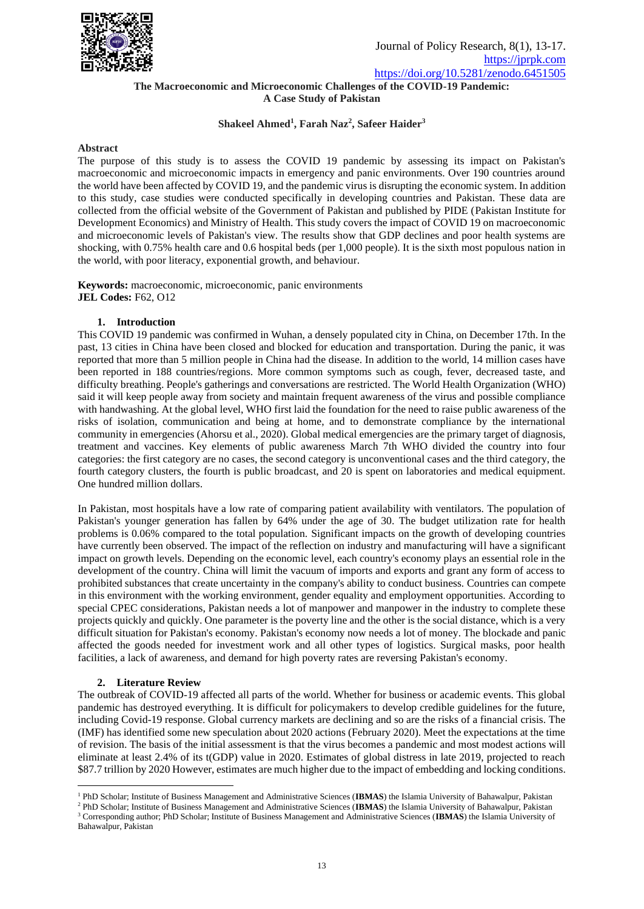

# **The Macroeconomic and Microeconomic Challenges of the COVID-19 Pandemic: A Case Study of Pakistan**

# **Shakeel Ahmed<sup>1</sup> , Farah Naz<sup>2</sup> , Safeer Haider<sup>3</sup>**

### **Abstract**

The purpose of this study is to assess the COVID 19 pandemic by assessing its impact on Pakistan's macroeconomic and microeconomic impacts in emergency and panic environments. Over 190 countries around the world have been affected by COVID 19, and the pandemic virus is disrupting the economic system. In addition to this study, case studies were conducted specifically in developing countries and Pakistan. These data are collected from the official website of the Government of Pakistan and published by PIDE (Pakistan Institute for Development Economics) and Ministry of Health. This study covers the impact of COVID 19 on macroeconomic and microeconomic levels of Pakistan's view. The results show that GDP declines and poor health systems are shocking, with 0.75% health care and 0.6 hospital beds (per 1,000 people). It is the sixth most populous nation in the world, with poor literacy, exponential growth, and behaviour.

**Keywords:** macroeconomic, microeconomic, panic environments **JEL Codes:** F62, O12

## **1. Introduction**

This COVID 19 pandemic was confirmed in Wuhan, a densely populated city in China, on December 17th. In the past, 13 cities in China have been closed and blocked for education and transportation. During the panic, it was reported that more than 5 million people in China had the disease. In addition to the world, 14 million cases have been reported in 188 countries/regions. More common symptoms such as cough, fever, decreased taste, and difficulty breathing. People's gatherings and conversations are restricted. The World Health Organization (WHO) said it will keep people away from society and maintain frequent awareness of the virus and possible compliance with handwashing. At the global level, WHO first laid the foundation for the need to raise public awareness of the risks of isolation, communication and being at home, and to demonstrate compliance by the international community in emergencies (Ahorsu et al., 2020). Global medical emergencies are the primary target of diagnosis, treatment and vaccines. Key elements of public awareness March 7th WHO divided the country into four categories: the first category are no cases, the second category is unconventional cases and the third category, the fourth category clusters, the fourth is public broadcast, and 20 is spent on laboratories and medical equipment. One hundred million dollars.

In Pakistan, most hospitals have a low rate of comparing patient availability with ventilators. The population of Pakistan's younger generation has fallen by 64% under the age of 30. The budget utilization rate for health problems is 0.06% compared to the total population. Significant impacts on the growth of developing countries have currently been observed. The impact of the reflection on industry and manufacturing will have a significant impact on growth levels. Depending on the economic level, each country's economy plays an essential role in the development of the country. China will limit the vacuum of imports and exports and grant any form of access to prohibited substances that create uncertainty in the company's ability to conduct business. Countries can compete in this environment with the working environment, gender equality and employment opportunities. According to special CPEC considerations, Pakistan needs a lot of manpower and manpower in the industry to complete these projects quickly and quickly. One parameter is the poverty line and the other is the social distance, which is a very difficult situation for Pakistan's economy. Pakistan's economy now needs a lot of money. The blockade and panic affected the goods needed for investment work and all other types of logistics. Surgical masks, poor health facilities, a lack of awareness, and demand for high poverty rates are reversing Pakistan's economy.

# **2. Literature Review**

The outbreak of COVID-19 affected all parts of the world. Whether for business or academic events. This global pandemic has destroyed everything. It is difficult for policymakers to develop credible guidelines for the future, including Covid-19 response. Global currency markets are declining and so are the risks of a financial crisis. The (IMF) has identified some new speculation about 2020 actions (February 2020). Meet the expectations at the time of revision. The basis of the initial assessment is that the virus becomes a pandemic and most modest actions will eliminate at least 2.4% of its t(GDP) value in 2020. Estimates of global distress in late 2019, projected to reach \$87.7 trillion by 2020 However, estimates are much higher due to the impact of embedding and locking conditions.

<sup>1</sup> PhD Scholar; Institute of Business Management and Administrative Sciences (**IBMAS**) the Islamia University of Bahawalpur, Pakistan

<sup>2</sup> PhD Scholar; Institute of Business Management and Administrative Sciences (**IBMAS**) the Islamia University of Bahawalpur, Pakistan <sup>3</sup> Corresponding author; PhD Scholar; Institute of Business Management and Administrative Sciences (**IBMAS**) the Islamia University of Bahawalpur, Pakistan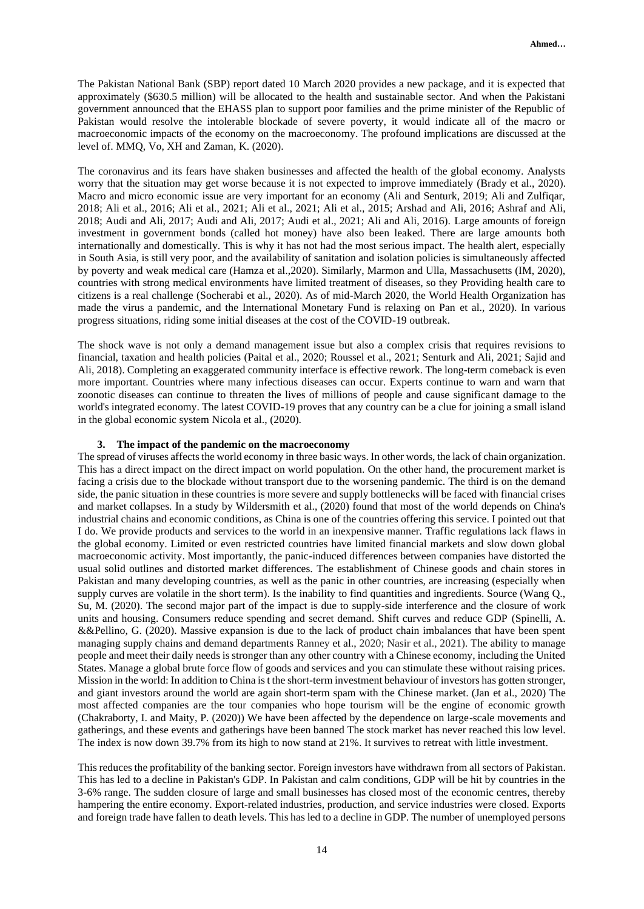The Pakistan National Bank (SBP) report dated 10 March 2020 provides a new package, and it is expected that approximately (\$630.5 million) will be allocated to the health and sustainable sector. And when the Pakistani government announced that the EHASS plan to support poor families and the prime minister of the Republic of Pakistan would resolve the intolerable blockade of severe poverty, it would indicate all of the macro or macroeconomic impacts of the economy on the macroeconomy. The profound implications are discussed at the level of. MMQ, Vo, XH and Zaman, K. (2020).

The coronavirus and its fears have shaken businesses and affected the health of the global economy. Analysts worry that the situation may get worse because it is not expected to improve immediately (Brady et al., 2020). Macro and micro economic issue are very important for an economy (Ali and Senturk, 2019; Ali and Zulfiqar, 2018; Ali et al., 2016; Ali et al., 2021; Ali et al., 2021; Ali et al., 2015; Arshad and Ali, 2016; Ashraf and Ali, 2018; Audi and Ali, 2017; Audi and Ali, 2017; Audi et al., 2021; Ali and Ali, 2016). Large amounts of foreign investment in government bonds (called hot money) have also been leaked. There are large amounts both internationally and domestically. This is why it has not had the most serious impact. The health alert, especially in South Asia, is still very poor, and the availability of sanitation and isolation policies is simultaneously affected by poverty and weak medical care (Hamza et al.,2020). Similarly, Marmon and Ulla, Massachusetts (IM, 2020), countries with strong medical environments have limited treatment of diseases, so they Providing health care to citizens is a real challenge (Socherabi et al., 2020). As of mid-March 2020, the World Health Organization has made the virus a pandemic, and the International Monetary Fund is relaxing on Pan et al., 2020). In various progress situations, riding some initial diseases at the cost of the COVID-19 outbreak.

The shock wave is not only a demand management issue but also a complex crisis that requires revisions to financial, taxation and health policies (Paital et al., 2020; Roussel et al., 2021; Senturk and Ali, 2021; Sajid and Ali, 2018). Completing an exaggerated community interface is effective rework. The long-term comeback is even more important. Countries where many infectious diseases can occur. Experts continue to warn and warn that zoonotic diseases can continue to threaten the lives of millions of people and cause significant damage to the world's integrated economy. The latest COVID-19 proves that any country can be a clue for joining a small island in the global economic system Nicola et al., (2020).

#### **3. The impact of the pandemic on the macroeconomy**

The spread of viruses affects the world economy in three basic ways. In other words, the lack of chain organization. This has a direct impact on the direct impact on world population. On the other hand, the procurement market is facing a crisis due to the blockade without transport due to the worsening pandemic. The third is on the demand side, the panic situation in these countries is more severe and supply bottlenecks will be faced with financial crises and market collapses. In a study by Wildersmith et al., (2020) found that most of the world depends on China's industrial chains and economic conditions, as China is one of the countries offering this service. I pointed out that I do. We provide products and services to the world in an inexpensive manner. Traffic regulations lack flaws in the global economy. Limited or even restricted countries have limited financial markets and slow down global macroeconomic activity. Most importantly, the panic-induced differences between companies have distorted the usual solid outlines and distorted market differences. The establishment of Chinese goods and chain stores in Pakistan and many developing countries, as well as the panic in other countries, are increasing (especially when supply curves are volatile in the short term). Is the inability to find quantities and ingredients. Source (Wang Q., Su, M. (2020). The second major part of the impact is due to supply-side interference and the closure of work units and housing. Consumers reduce spending and secret demand. Shift curves and reduce GDP (Spinelli, A. &&Pellino, G. (2020). Massive expansion is due to the lack of product chain imbalances that have been spent managing supply chains and demand departments Ranney et al., 2020; Nasir et al., 2021). The ability to manage people and meet their daily needs is stronger than any other country with a Chinese economy, including the United States. Manage a global brute force flow of goods and services and you can stimulate these without raising prices. Mission in the world: In addition to China is t the short-term investment behaviour of investors has gotten stronger, and giant investors around the world are again short-term spam with the Chinese market. (Jan et al., 2020) The most affected companies are the tour companies who hope tourism will be the engine of economic growth (Chakraborty, I. and Maity, P. (2020)) We have been affected by the dependence on large-scale movements and gatherings, and these events and gatherings have been banned The stock market has never reached this low level. The index is now down 39.7% from its high to now stand at 21%. It survives to retreat with little investment.

This reduces the profitability of the banking sector. Foreign investors have withdrawn from all sectors of Pakistan. This has led to a decline in Pakistan's GDP. In Pakistan and calm conditions, GDP will be hit by countries in the 3-6% range. The sudden closure of large and small businesses has closed most of the economic centres, thereby hampering the entire economy. Export-related industries, production, and service industries were closed. Exports and foreign trade have fallen to death levels. This has led to a decline in GDP. The number of unemployed persons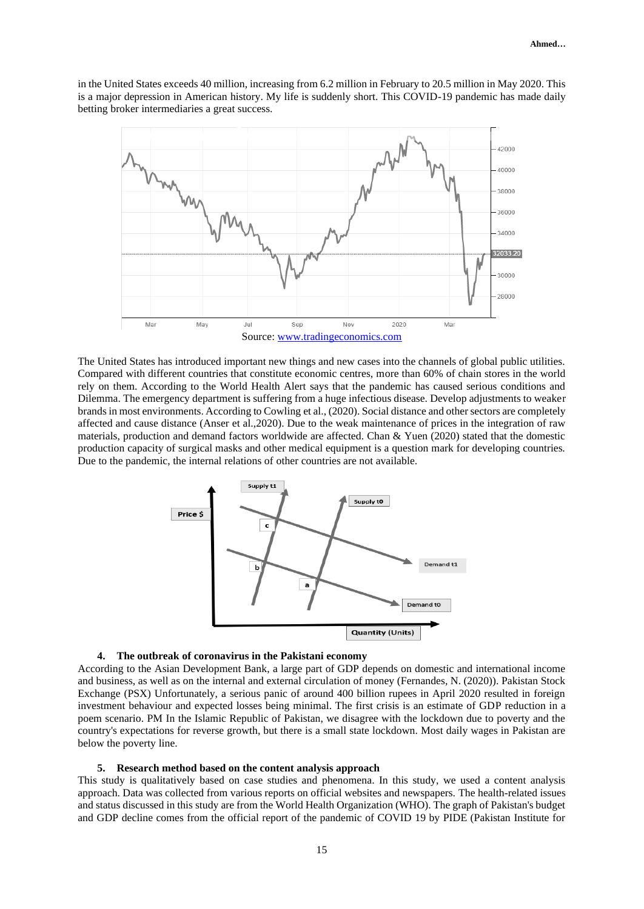in the United States exceeds 40 million, increasing from 6.2 million in February to 20.5 million in May 2020. This is a major depression in American history. My life is suddenly short. This COVID-19 pandemic has made daily betting broker intermediaries a great success.



The United States has introduced important new things and new cases into the channels of global public utilities. Compared with different countries that constitute economic centres, more than 60% of chain stores in the world rely on them. According to the World Health Alert says that the pandemic has caused serious conditions and Dilemma. The emergency department is suffering from a huge infectious disease. Develop adjustments to weaker brands in most environments. According to Cowling et al., (2020). Social distance and other sectors are completely affected and cause distance (Anser et al.,2020). Due to the weak maintenance of prices in the integration of raw materials, production and demand factors worldwide are affected. Chan & Yuen (2020) stated that the domestic production capacity of surgical masks and other medical equipment is a question mark for developing countries. Due to the pandemic, the internal relations of other countries are not available.



#### **4. The outbreak of coronavirus in the Pakistani economy**

According to the Asian Development Bank, a large part of GDP depends on domestic and international income and business, as well as on the internal and external circulation of money (Fernandes, N. (2020)). Pakistan Stock Exchange (PSX) Unfortunately, a serious panic of around 400 billion rupees in April 2020 resulted in foreign investment behaviour and expected losses being minimal. The first crisis is an estimate of GDP reduction in a poem scenario. PM In the Islamic Republic of Pakistan, we disagree with the lockdown due to poverty and the country's expectations for reverse growth, but there is a small state lockdown. Most daily wages in Pakistan are below the poverty line.

#### **5. Research method based on the content analysis approach**

This study is qualitatively based on case studies and phenomena. In this study, we used a content analysis approach. Data was collected from various reports on official websites and newspapers. The health-related issues and status discussed in this study are from the World Health Organization (WHO). The graph of Pakistan's budget and GDP decline comes from the official report of the pandemic of COVID 19 by PIDE (Pakistan Institute for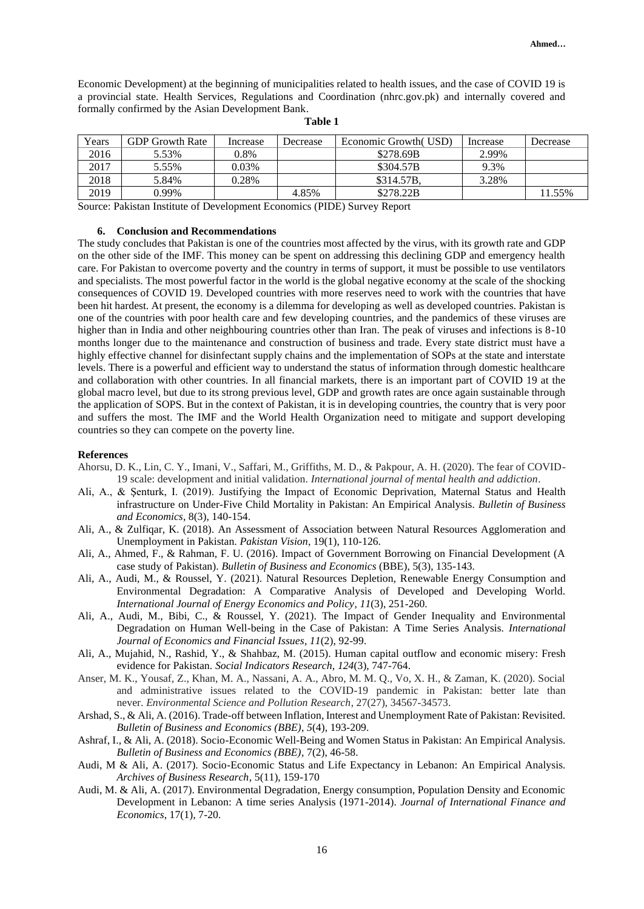Economic Development) at the beginning of municipalities related to health issues, and the case of COVID 19 is a provincial state. Health Services, Regulations and Coordination (nhrc.gov.pk) and internally covered and formally confirmed by the Asian Development Bank.

| Years | <b>GDP Growth Rate</b> | Increase | Decrease | Economic Growth (USD) | Increase | Decrease |
|-------|------------------------|----------|----------|-----------------------|----------|----------|
| 2016  | 5.53%                  | 0.8%     |          | \$278.69B             | 2.99%    |          |
| 2017  | 5.55%                  | $0.03\%$ |          | \$304.57B             | 9.3%     |          |
| 2018  | 5.84%                  | 0.28%    |          | \$314.57B.            | 3.28%    |          |
| 2019  | 0.99%                  |          | 4.85%    | \$278.22B             |          | $1.55\%$ |

#### **Table 1**

Source: Pakistan Institute of Development Economics (PIDE) Survey Report

## **6. Conclusion and Recommendations**

The study concludes that Pakistan is one of the countries most affected by the virus, with its growth rate and GDP on the other side of the IMF. This money can be spent on addressing this declining GDP and emergency health care. For Pakistan to overcome poverty and the country in terms of support, it must be possible to use ventilators and specialists. The most powerful factor in the world is the global negative economy at the scale of the shocking consequences of COVID 19. Developed countries with more reserves need to work with the countries that have been hit hardest. At present, the economy is a dilemma for developing as well as developed countries. Pakistan is one of the countries with poor health care and few developing countries, and the pandemics of these viruses are higher than in India and other neighbouring countries other than Iran. The peak of viruses and infections is 8-10 months longer due to the maintenance and construction of business and trade. Every state district must have a highly effective channel for disinfectant supply chains and the implementation of SOPs at the state and interstate levels. There is a powerful and efficient way to understand the status of information through domestic healthcare and collaboration with other countries. In all financial markets, there is an important part of COVID 19 at the global macro level, but due to its strong previous level, GDP and growth rates are once again sustainable through the application of SOPS. But in the context of Pakistan, it is in developing countries, the country that is very poor and suffers the most. The IMF and the World Health Organization need to mitigate and support developing countries so they can compete on the poverty line.

#### **References**

- Ahorsu, D. K., Lin, C. Y., Imani, V., Saffari, M., Griffiths, M. D., & Pakpour, A. H. (2020). The fear of COVID-19 scale: development and initial validation. *International journal of mental health and addiction*.
- Ali, A., & Şenturk, I. (2019). Justifying the Impact of Economic Deprivation, Maternal Status and Health infrastructure on Under-Five Child Mortality in Pakistan: An Empirical Analysis. *Bulletin of Business and Economics*, 8(3), 140-154.
- Ali, A., & Zulfiqar, K. (2018). An Assessment of Association between Natural Resources Agglomeration and Unemployment in Pakistan. *Pakistan Vision*, 19(1), 110-126.
- Ali, A., Ahmed, F., & Rahman, F. U. (2016). Impact of Government Borrowing on Financial Development (A case study of Pakistan). *Bulletin of Business and Economics* (BBE), 5(3), 135-143.
- Ali, A., Audi, M., & Roussel, Y. (2021). Natural Resources Depletion, Renewable Energy Consumption and Environmental Degradation: A Comparative Analysis of Developed and Developing World. *International Journal of Energy Economics and Policy*, *11*(3), 251-260.
- Ali, A., Audi, M., Bibi, C., & Roussel, Y. (2021). The Impact of Gender Inequality and Environmental Degradation on Human Well-being in the Case of Pakistan: A Time Series Analysis. *International Journal of Economics and Financial Issues*, *11*(2), 92-99.
- Ali, A., Mujahid, N., Rashid, Y., & Shahbaz, M. (2015). Human capital outflow and economic misery: Fresh evidence for Pakistan. *Social Indicators Research*, *124*(3), 747-764.
- Anser, M. K., Yousaf, Z., Khan, M. A., Nassani, A. A., Abro, M. M. Q., Vo, X. H., & Zaman, K. (2020). Social and administrative issues related to the COVID-19 pandemic in Pakistan: better late than never. *Environmental Science and Pollution Research*, 27(27), 34567-34573.
- Arshad, S., & Ali, A. (2016). Trade-off between Inflation, Interest and Unemployment Rate of Pakistan: Revisited. *Bulletin of Business and Economics (BBE)*, *5*(4), 193-209.
- Ashraf, I., & Ali, A. (2018). Socio-Economic Well-Being and Women Status in Pakistan: An Empirical Analysis. *Bulletin of Business and Economics (BBE)*, 7(2), 46-58.
- Audi, M & Ali, A. (2017). Socio-Economic Status and Life Expectancy in Lebanon: An Empirical Analysis. *Archives of Business Research*, 5(11), 159-170
- Audi, M. & Ali, A. (2017). Environmental Degradation, Energy consumption, Population Density and Economic Development in Lebanon: A time series Analysis (1971-2014). *Journal of International Finance and Economics*, 17(1), 7-20.